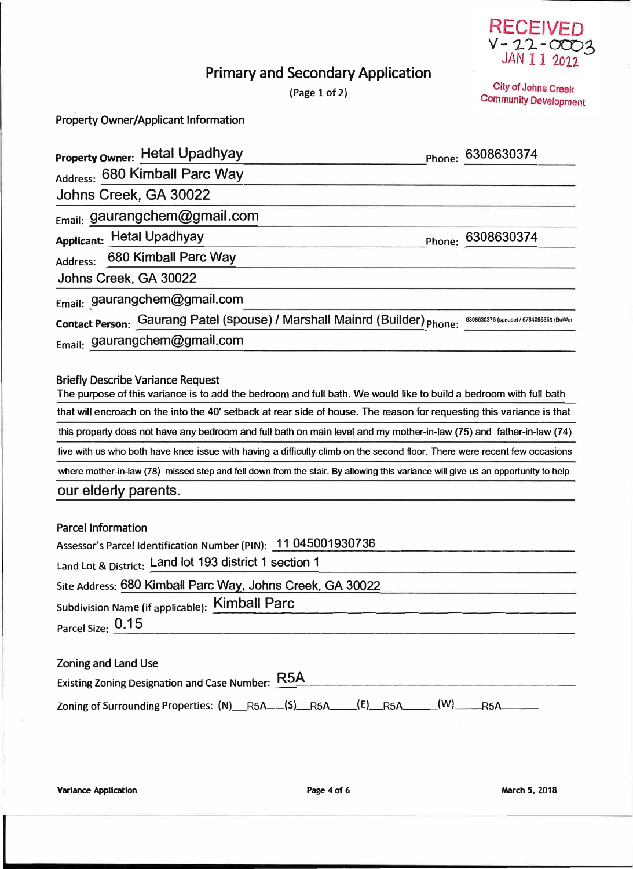

City of Johns Creek **Community Development** 

## **Primary and Secondary Application**

(Page 1 of 2)

**Property Owner/Applicant Information** 

| Property Owner: Hetal Upadhyay                                                                                                   | Phone: 6308630374                         |
|----------------------------------------------------------------------------------------------------------------------------------|-------------------------------------------|
| Address: 680 Kimball Parc Way                                                                                                    |                                           |
| Johns Creek, GA 30022                                                                                                            |                                           |
| Email: gaurangchem@gmail.com                                                                                                     |                                           |
| Applicant: Hetal Upadhyay                                                                                                        | Phone: 6308630374                         |
| 680 Kimball Parc Way<br>Address:                                                                                                 |                                           |
| Johns Creek, GA 30022                                                                                                            |                                           |
| Email: gaurangchem@gmail.com                                                                                                     |                                           |
| Contact Person: Gaurang Patel (spouse) / Marshall Mainrd (Builder) Phone:                                                        | 6308630376 (spouse) / 6784095359 (Builder |
| Email: gaurangchem@gmail.com                                                                                                     |                                           |
|                                                                                                                                  |                                           |
| <b>Briefly Describe Variance Request</b>                                                                                         |                                           |
| The purpose of this variance is to add the bedroom and full bath. We would like to build a bedroom with full bath                |                                           |
| that will encroach on the into the 40' setback at rear side of house. The reason for requesting this variance is that            |                                           |
| this property does not have any bedroom and full bath on main level and my mother-in-law (75) and father-in-law (74)             |                                           |
| live with us who both have knee issue with having a difficulty climb on the second floor. There were recent few occasions        |                                           |
| where mother-in-law (78) missed step and fell down from the stair. By allowing this variance will give us an opportunity to help |                                           |

## **our e lderly parents.**

| <b>Parcel Information</b>                                      |
|----------------------------------------------------------------|
| Assessor's Parcel Identification Number (PIN): 11 045001930736 |
| Land Lot & District: Land lot 193 district 1 section 1         |
| Site Address: 680 Kimball Parc Way, Johns Creek, GA 30022      |
| Subdivision Name (if applicable): Kimball Parc                 |
| Parcel Size: 0.15                                              |
|                                                                |
| <b>Zoning and Land Use</b>                                     |

| Existing Zoning Designation and Case Number: R5A                  |  |  |
|-------------------------------------------------------------------|--|--|
| Zoning of Surrounding Properties: (N) R5A (S) R5A (E) R5A (W) R5A |  |  |